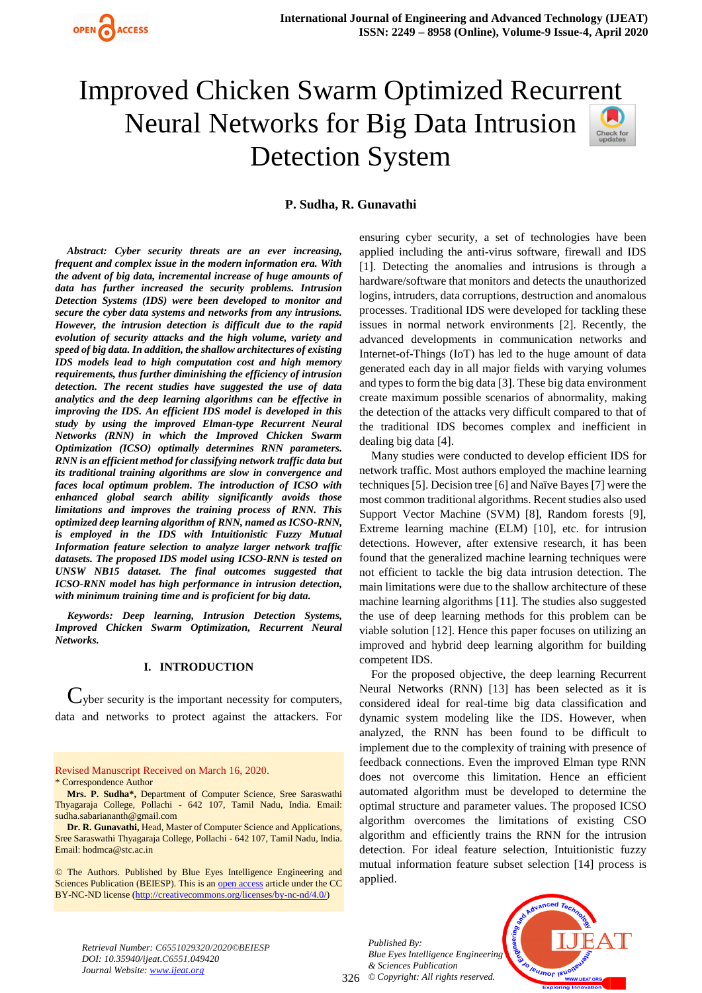

**P. Sudha, R. Gunavathi**

*Abstract: Cyber security threats are an ever increasing, frequent and complex issue in the modern information era. With the advent of big data, incremental increase of huge amounts of data has further increased the security problems. Intrusion Detection Systems (IDS) were been developed to monitor and secure the cyber data systems and networks from any intrusions. However, the intrusion detection is difficult due to the rapid evolution of security attacks and the high volume, variety and speed of big data. In addition, the shallow architectures of existing IDS models lead to high computation cost and high memory requirements, thus further diminishing the efficiency of intrusion detection. The recent studies have suggested the use of data analytics and the deep learning algorithms can be effective in improving the IDS. An efficient IDS model is developed in this study by using the improved Elman-type Recurrent Neural Networks (RNN) in which the Improved Chicken Swarm Optimization (ICSO) optimally determines RNN parameters. RNN is an efficient method for classifying network traffic data but its traditional training algorithms are slow in convergence and faces local optimum problem. The introduction of ICSO with enhanced global search ability significantly avoids those limitations and improves the training process of RNN. This optimized deep learning algorithm of RNN, named as ICSO-RNN, is employed in the IDS with Intuitionistic Fuzzy Mutual Information feature selection to analyze larger network traffic datasets. The proposed IDS model using ICSO-RNN is tested on UNSW NB15 dataset. The final outcomes suggested that ICSO-RNN model has high performance in intrusion detection, with minimum training time and is proficient for big data.*

*Keywords: Deep learning, Intrusion Detection Systems, Improved Chicken Swarm Optimization, Recurrent Neural Networks.*

## **I. INTRODUCTION**

 $C$ yber security is the important necessity for computers, data and networks to protect against the attackers. For

Revised Manuscript Received on March 16, 2020. \* Correspondence Author

**Mrs. P. Sudha\*,** Department of Computer Science, Sree Saraswathi Thyagaraja College, Pollachi - 642 107, Tamil Nadu, India. Email: sudha.sabariananth@gmail.com

**Dr. R. Gunavathi,** Head, Master of Computer Science and Applications, Sree Saraswathi Thyagaraja College, Pollachi - 642 107, Tamil Nadu, India. Email[: hodmca@stc.ac.in](mailto:hodmca@stc.ac.in)

© The Authors. Published by Blue Eyes Intelligence Engineering and Sciences Publication (BEIESP). This is an [open access](https://www.openaccess.nl/en/open-publications) article under the CC BY-NC-ND license [\(http://creativecommons.org/licenses/by-nc-nd/4.0/\)](http://creativecommons.org/licenses/by-nc-nd/4.0/)

ensuring cyber security, a set of technologies have been applied including the anti-virus software, firewall and IDS [1]. Detecting the anomalies and intrusions is through a hardware/software that monitors and detects the unauthorized logins, intruders, data corruptions, destruction and anomalous processes. Traditional IDS were developed for tackling these issues in normal network environments [2]. Recently, the advanced developments in communication networks and Internet-of-Things (IoT) has led to the huge amount of data generated each day in all major fields with varying volumes and types to form the big data [3]. These big data environment create maximum possible scenarios of abnormality, making the detection of the attacks very difficult compared to that of the traditional IDS becomes complex and inefficient in dealing big data [4].

Many studies were conducted to develop efficient IDS for network traffic. Most authors employed the machine learning techniques [5]. Decision tree [6] and Naïve Bayes [7] were the most common traditional algorithms. Recent studies also used Support Vector Machine (SVM) [8], Random forests [9], Extreme learning machine (ELM) [10], etc. for intrusion detections. However, after extensive research, it has been found that the generalized machine learning techniques were not efficient to tackle the big data intrusion detection. The main limitations were due to the shallow architecture of these machine learning algorithms [11]. The studies also suggested the use of deep learning methods for this problem can be viable solution [12]. Hence this paper focuses on utilizing an improved and hybrid deep learning algorithm for building competent IDS.

For the proposed objective, the deep learning Recurrent Neural Networks (RNN) [13] has been selected as it is considered ideal for real-time big data classification and dynamic system modeling like the IDS. However, when analyzed, the RNN has been found to be difficult to implement due to the complexity of training with presence of feedback connections. Even the improved Elman type RNN does not overcome this limitation. Hence an efficient automated algorithm must be developed to determine the optimal structure and parameter values. The proposed ICSO algorithm overcomes the limitations of existing CSO algorithm and efficiently trains the RNN for the intrusion detection. For ideal feature selection, Intuitionistic fuzzy mutual information feature subset selection [14] process is applied.

326 *© Copyright: All rights reserved. Published By: Blue Eyes Intelligence Engineering & Sciences Publication* 



*Retrieval Number: C6551029320/2020©BEIESP DOI: 10.35940/ijeat.C6551.049420 Journal Website: www.ijeat.org*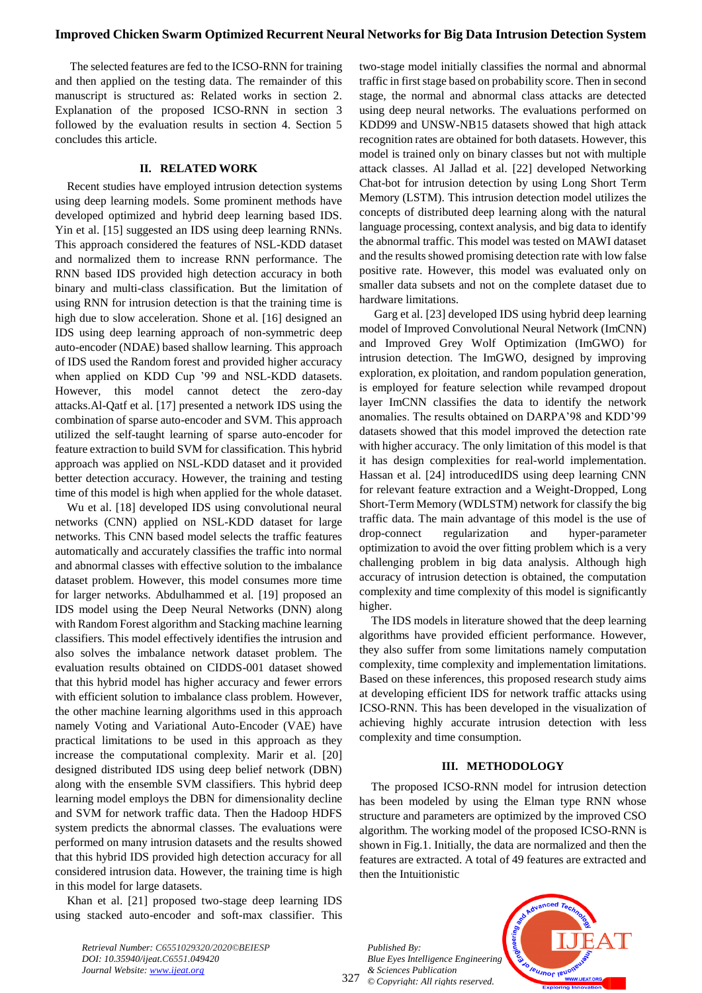The selected features are fed to the ICSO-RNN for training and then applied on the testing data. The remainder of this manuscript is structured as: Related works in section 2. Explanation of the proposed ICSO-RNN in section 3 followed by the evaluation results in section 4. Section 5 concludes this article.

#### **II. RELATED WORK**

Recent studies have employed intrusion detection systems using deep learning models. Some prominent methods have developed optimized and hybrid deep learning based IDS. Yin et al. [15] suggested an IDS using deep learning RNNs. This approach considered the features of NSL-KDD dataset and normalized them to increase RNN performance. The RNN based IDS provided high detection accuracy in both binary and multi-class classification. But the limitation of using RNN for intrusion detection is that the training time is high due to slow acceleration. Shone et al. [16] designed an IDS using deep learning approach of non-symmetric deep auto-encoder (NDAE) based shallow learning. This approach of IDS used the Random forest and provided higher accuracy when applied on KDD Cup '99 and NSL-KDD datasets. However, this model cannot detect the zero-day attacks.Al-Qatf et al. [17] presented a network IDS using the combination of sparse auto-encoder and SVM. This approach utilized the self-taught learning of sparse auto-encoder for feature extraction to build SVM for classification. This hybrid approach was applied on NSL-KDD dataset and it provided better detection accuracy. However, the training and testing time of this model is high when applied for the whole dataset.

Wu et al. [18] developed IDS using convolutional neural networks (CNN) applied on NSL-KDD dataset for large networks. This CNN based model selects the traffic features automatically and accurately classifies the traffic into normal and abnormal classes with effective solution to the imbalance dataset problem. However, this model consumes more time for larger networks. Abdulhammed et al. [19] proposed an IDS model using the Deep Neural Networks (DNN) along with Random Forest algorithm and Stacking machine learning classifiers. This model effectively identifies the intrusion and also solves the imbalance network dataset problem. The evaluation results obtained on CIDDS-001 dataset showed that this hybrid model has higher accuracy and fewer errors with efficient solution to imbalance class problem. However, the other machine learning algorithms used in this approach namely Voting and Variational Auto-Encoder (VAE) have practical limitations to be used in this approach as they increase the computational complexity. Marir et al. [20] designed distributed IDS using deep belief network (DBN) along with the ensemble SVM classifiers. This hybrid deep learning model employs the DBN for dimensionality decline and SVM for network traffic data. Then the Hadoop HDFS system predicts the abnormal classes. The evaluations were performed on many intrusion datasets and the results showed that this hybrid IDS provided high detection accuracy for all considered intrusion data. However, the training time is high in this model for large datasets.

Khan et al. [21] proposed two-stage deep learning IDS using stacked auto-encoder and soft-max classifier. This

*Retrieval Number: C6551029320/2020©BEIESP DOI: 10.35940/ijeat.C6551.049420 Journal Website: www.ijeat.org*

two-stage model initially classifies the normal and abnormal traffic in first stage based on probability score. Then in second stage, the normal and abnormal class attacks are detected using deep neural networks. The evaluations performed on KDD99 and UNSW-NB15 datasets showed that high attack recognition rates are obtained for both datasets. However, this model is trained only on binary classes but not with multiple attack classes. Al Jallad et al. [22] developed Networking Chat-bot for intrusion detection by using Long Short Term Memory (LSTM). This intrusion detection model utilizes the concepts of distributed deep learning along with the natural language processing, context analysis, and big data to identify the abnormal traffic. This model was tested on MAWI dataset and the results showed promising detection rate with low false positive rate. However, this model was evaluated only on smaller data subsets and not on the complete dataset due to hardware limitations.

Garg et al. [23] developed IDS using hybrid deep learning model of Improved Convolutional Neural Network (ImCNN) and Improved Grey Wolf Optimization (ImGWO) for intrusion detection. The ImGWO, designed by improving exploration, ex ploitation, and random population generation, is employed for feature selection while revamped dropout layer ImCNN classifies the data to identify the network anomalies. The results obtained on DARPA'98 and KDD'99 datasets showed that this model improved the detection rate with higher accuracy. The only limitation of this model is that it has design complexities for real-world implementation. Hassan et al. [24] introducedIDS using deep learning CNN for relevant feature extraction and a Weight-Dropped, Long Short-Term Memory (WDLSTM) network for classify the big traffic data. The main advantage of this model is the use of drop-connect regularization and hyper-parameter optimization to avoid the over fitting problem which is a very challenging problem in big data analysis. Although high accuracy of intrusion detection is obtained, the computation complexity and time complexity of this model is significantly higher.

The IDS models in literature showed that the deep learning algorithms have provided efficient performance. However, they also suffer from some limitations namely computation complexity, time complexity and implementation limitations. Based on these inferences, this proposed research study aims at developing efficient IDS for network traffic attacks using ICSO-RNN. This has been developed in the visualization of achieving highly accurate intrusion detection with less complexity and time consumption.

#### **III. METHODOLOGY**

The proposed ICSO-RNN model for intrusion detection has been modeled by using the Elman type RNN whose structure and parameters are optimized by the improved CSO algorithm. The working model of the proposed ICSO-RNN is shown in Fig.1. Initially, the data are normalized and then the features are extracted. A total of 49 features are extracted and then the Intuitionistic

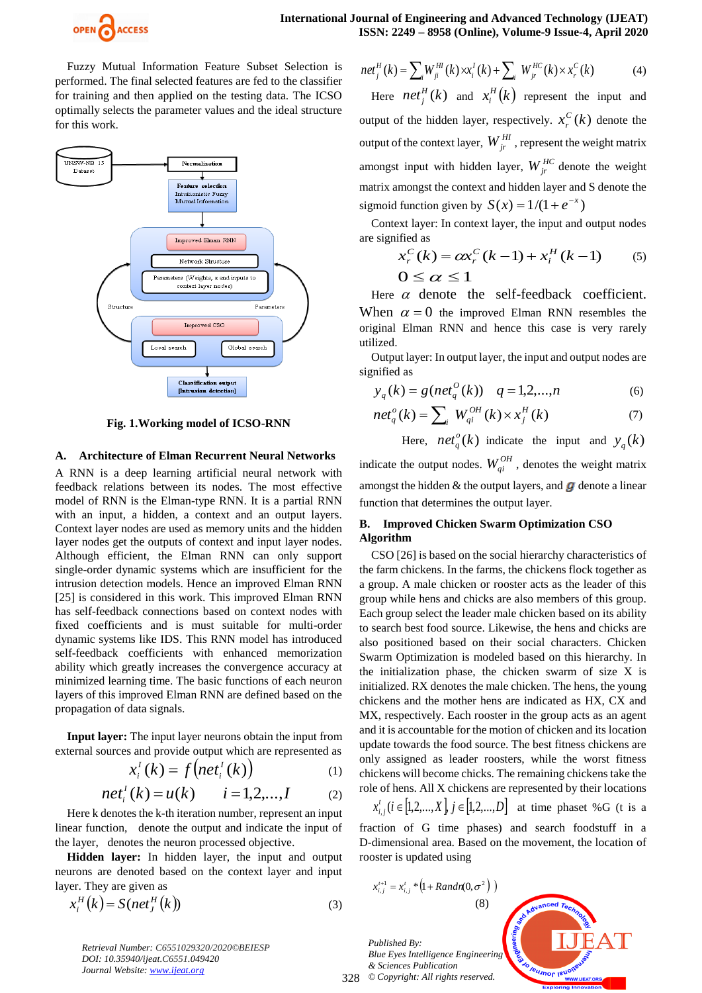

Fuzzy Mutual Information Feature Subset Selection is performed. The final selected features are fed to the classifier for training and then applied on the testing data. The ICSO optimally selects the parameter values and the ideal structure for this work.



**Fig. 1.Working model of ICSO-RNN** 

#### **A. Architecture of Elman Recurrent Neural Networks**

A RNN is a deep learning artificial neural network with feedback relations between its nodes. The most effective model of RNN is the Elman-type RNN. It is a partial RNN with an input, a hidden, a context and an output layers. Context layer nodes are used as memory units and the hidden layer nodes get the outputs of context and input layer nodes. Although efficient, the Elman RNN can only support single-order dynamic systems which are insufficient for the intrusion detection models. Hence an improved Elman RNN [25] is considered in this work. This improved Elman RNN has self-feedback connections based on context nodes with fixed coefficients and is must suitable for multi-order dynamic systems like IDS. This RNN model has introduced self-feedback coefficients with enhanced memorization ability which greatly increases the convergence accuracy at minimized learning time. The basic functions of each neuron layers of this improved Elman RNN are defined based on the propagation of data signals.

**Input layer:** The input layer neurons obtain the input from external sources and provide output which are represented as

$$
x_i^I(k) = f\big(net_i^I(k)\big) \tag{1}
$$

$$
net_i^l(k) = u(k)
$$
  $i = 1,2,...,I$  (2)

Here k denotes the k-th iteration number, represent an input linear function, denote the output and indicate the input of the layer, denotes the neuron processed objective.

**Hidden layer:** In hidden layer, the input and output neurons are denoted based on the context layer and input layer. They are given as

$$
x_i^H(k) = S(net_j^H(k))
$$
\n(3)

*Retrieval Number: C6551029320/2020©BEIESP DOI: 10.35940/ijeat.C6551.049420 Journal Website: www.ijeat.org*

$$
net_j^H(k) = \sum_{i} W_{ji}^{Hl}(k) \times x_i^I(k) + \sum_{i} W_{jr}^{HC}(k) \times x_r^C(k)
$$
 (4)

Here  $net_i^H(k)$  $\chi_i^H(k)$  and  $\chi_i^H(k)$  $\int_i^n(k)$  represent the input and output of the hidden layer, respectively.  $x_r^C(k)$  $\int_{r}^{C}$  (*k*) denote the output of the context layer,  $W_{ir}^{HI}$ , represent the weight matrix amongst input with hidden layer,  $W_{jr}^{HC}$  denote the weight matrix amongst the context and hidden layer and S denote the sigmoid function given by  $S(x) = 1/(1 + e^{-x})$ 

Context layer: In context layer, the input and output nodes are signified as

$$
x_r^C(k) = \alpha x_r^C(k-1) + x_i^H(k-1) \qquad (5)
$$
  
 
$$
0 \le \alpha \le 1
$$

Here  $\alpha$  denote the self-feedback coefficient. When  $\alpha = 0$  the improved Elman RNN resembles the original Elman RNN and hence this case is very rarely utilized.

Output layer: In output layer, the input and output nodes are signified as

$$
y_q(k) = g(net_q^O(k))
$$
  $q = 1,2,...,n$  (6)

$$
netqo(k) = \sum_{i} WqiOH(k) \times xjH(k)
$$
 (7)

Here,  $net^o_a(k)$  $\int_{q}^{0}(k)$  indicate the input and  $y_q(k)$ indicate the output nodes.  $W_{qi}^{OH}$ , denotes the weight matrix amongst the hidden  $\&$  the output layers, and  $\boldsymbol{g}$  denote a linear function that determines the output layer.

# **B. Improved Chicken Swarm Optimization CSO Algorithm**

CSO [26] is based on the social hierarchy characteristics of the farm chickens. In the farms, the chickens flock together as a group. A male chicken or rooster acts as the leader of this group while hens and chicks are also members of this group. Each group select the leader male chicken based on its ability to search best food source. Likewise, the hens and chicks are also positioned based on their social characters. Chicken Swarm Optimization is modeled based on this hierarchy. In the initialization phase, the chicken swarm of size X is initialized. RX denotes the male chicken. The hens, the young chickens and the mother hens are indicated as HX, CX and MX, respectively. Each rooster in the group acts as an agent and it is accountable for the motion of chicken and its location update towards the food source. The best fitness chickens are only assigned as leader roosters, while the worst fitness chickens will become chicks. The remaining chickens take the role of hens. All X chickens are represented by their locations

$$
x_{i,j}^t (i \in [1,2,...,X], j \in [1,2,...,D]
$$
 at time phaset %G (t is a

fraction of G time phases) and search foodstuff in a D-dimensional area. Based on the movement, the location of rooster is updated using

$$
x_{i,j}^{t+1} = x_{i,j}^t * (1 + Random(0, \sigma^2))
$$
\n(8)

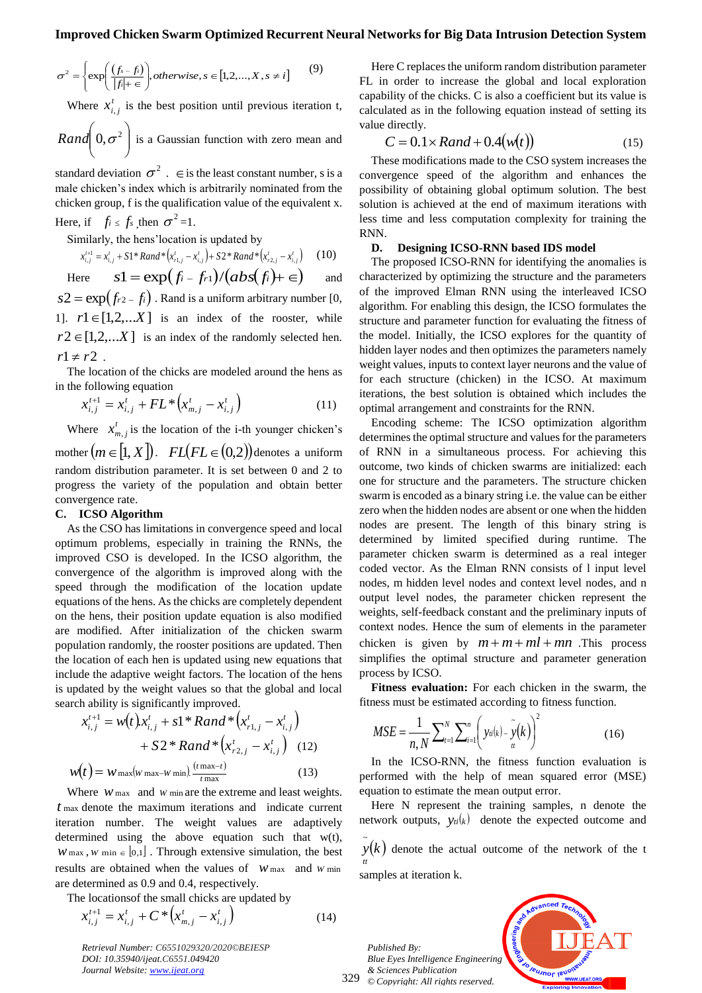$$
\sigma^2 = \begin{cases} \exp\left(\frac{(f_s - f_i)}{|f| + \epsilon}\right), \text{otherwise}, s \in [1, 2, \dots, X, s \neq i] \\ 0, \end{cases} \tag{9}
$$

Where  $x_i^t$  $x_{i,j}^t$  is the best position until previous iteration t,

 $\overline{\phantom{a}}$ J  $\setminus$  $\mathsf{I}$  $\setminus$  $\text{Rand}\left(0, \sigma^2\right)$  is a Gaussian function with zero mean and

standard deviation  $\sigma^2$ .  $\in$  is the least constant number, s is a male chicken's index which is arbitrarily nominated from the chicken group, f is the qualification value of the equivalent x. Here, if  $f_i \leq f_s$ , then  $\sigma^2 = 1$ .

Similarly, the hens'location is updated by

$$
x_{i,j}^{t+1} = x_{i,j}^t + S1^* Rand^* (x_{i,j}^t - x_{i,j}^t) + S2^* Rand^* (x_{i,2,j}^t - x_{i,j}^t) \qquad (10)
$$

Here 
$$
s1 = \exp(f_i - f_{r1})/(abs(f_i) + \epsilon)
$$
 and  
  $s2 = \exp(f_{r2} - f_i)$ . Rand is a uniform arbitrary number [0,

1].  $r1 \in [1,2,...X]$  is an index of the rooster, while  $r2 \in [1,2,...X]$  is an index of the randomly selected hen.  $r1 \neq r2$ .

The location of the chicks are modeled around the hens as in the following equation

$$
x_{i,j}^{t+1} = x_{i,j}^t + FL^* \left( x_{m,j}^t - x_{i,j}^t \right) \tag{11}
$$

Where  $x_i^t$  $x_{m,j}^t$  is the location of the i-th younger chicken's mother  $(m \in [1, X])$ .  $FL(FL \in (0, 2))$  denotes a uniform random distribution parameter. It is set between 0 and 2 to progress the variety of the population and obtain better convergence rate.

#### **C. ICSO Algorithm**

As the CSO has limitations in convergence speed and local optimum problems, especially in training the RNNs, the improved CSO is developed. In the ICSO algorithm, the convergence of the algorithm is improved along with the speed through the modification of the location update equations of the hens. As the chicks are completely dependent on the hens, their position update equation is also modified are modified. After initialization of the chicken swarm population randomly, the rooster positions are updated. Then the location of each hen is updated using new equations that include the adaptive weight factors. The location of the hens is updated by the weight values so that the global and local search ability is significantly improved.

$$
x_{i,j}^{t+1} = w(t)x_{i,j}^t + s1 * Rand * (x_{r1,j}^t - x_{i,j}^t)
$$
  
+ S2 \* Rand \* (x\_{r2,j}^t - x\_{i,j}^t) (12)  

$$
w(t) = w_{\text{max}}(w_{\text{max}} - w_{\text{min}}) \frac{(t \text{max} - t)}{t \text{max}}
$$
 (13)

Where  $W$  max and  $W$  min are the extreme and least weights. *t* max denote the maximum iterations and indicate current iteration number. The weight values are adaptively determined using the above equation such that w(t),  $W$  max,  $W$  min  $\in [0,1]$ . Through extensive simulation, the best results are obtained when the values of  $W$  max and  $W$  min are determined as 0.9 and 0.4, respectively.

The locationsof the small chicks are updated by

$$
x_{i,j}^{t+1} = x_{i,j}^t + C^* \left( x_{m,j}^t - x_{i,j}^t \right)
$$
 (14)

*Retrieval Number: C6551029320/2020©BEIESP DOI: 10.35940/ijeat.C6551.049420 Journal Website: www.ijeat.org*

Here C replaces the uniform random distribution parameter FL in order to increase the global and local exploration capability of the chicks. C is also a coefficient but its value is calculated as in the following equation instead of setting its value directly.

$$
C = 0.1 \times Rand + 0.4(w(t))
$$
 (15)

These modifications made to the CSO system increases the convergence speed of the algorithm and enhances the possibility of obtaining global optimum solution. The best solution is achieved at the end of maximum iterations with less time and less computation complexity for training the RNN.

#### **D. Designing ICSO-RNN based IDS model**

The proposed ICSO-RNN for identifying the anomalies is characterized by optimizing the structure and the parameters of the improved Elman RNN using the interleaved ICSO algorithm. For enabling this design, the ICSO formulates the structure and parameter function for evaluating the fitness of the model. Initially, the ICSO explores for the quantity of hidden layer nodes and then optimizes the parameters namely weight values, inputs to context layer neurons and the value of for each structure (chicken) in the ICSO. At maximum iterations, the best solution is obtained which includes the optimal arrangement and constraints for the RNN.

Encoding scheme: The ICSO optimization algorithm determines the optimal structure and values for the parameters of RNN in a simultaneous process. For achieving this outcome, two kinds of chicken swarms are initialized: each one for structure and the parameters. The structure chicken swarm is encoded as a binary string i.e. the value can be either zero when the hidden nodes are absent or one when the hidden nodes are present. The length of this binary string is determined by limited specified during runtime. The parameter chicken swarm is determined as a real integer coded vector. As the Elman RNN consists of l input level nodes, m hidden level nodes and context level nodes, and n output level nodes, the parameter chicken represent the weights, self-feedback constant and the preliminary inputs of context nodes. Hence the sum of elements in the parameter chicken is given by  $m + m + ml + mn$ . This process simplifies the optimal structure and parameter generation process by ICSO.

**Fitness evaluation:** For each chicken in the swarm, the fitness must be estimated according to fitness function.

$$
MSE = \frac{1}{n, N} \sum_{t=1}^{N} \sum_{i=1}^{n} \left( y_{ti}(k) - \tilde{y}(k) \right)^2
$$
 (16)

In the ICSO-RNN, the fitness function evaluation is performed with the help of mean squared error (MSE) equation to estimate the mean output error.

Here N represent the training samples, n denote the network outputs,  $y_i(k)$  denote the expected outcome and

 $\tilde{y}(k)$ *tt* denote the actual outcome of the network of the t

samples at iteration k.

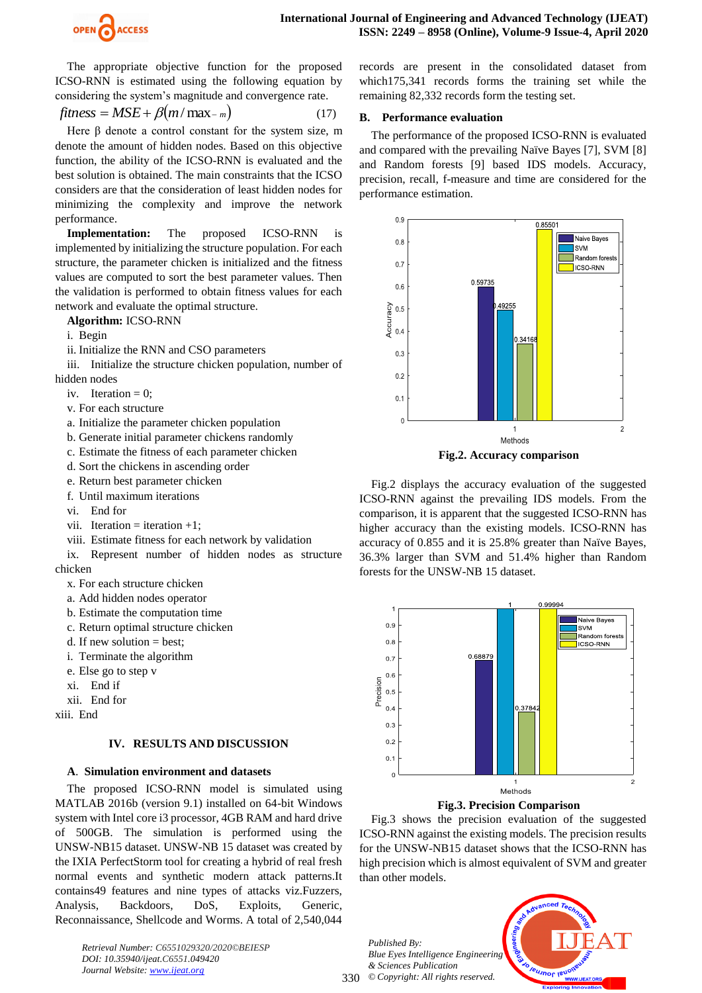

The appropriate objective function for the proposed ICSO-RNN is estimated using the following equation by considering the system's magnitude and convergence rate.

$$
fitness = MSE + \beta(m / \max_{-m})
$$
 (17)

Here  $\beta$  denote a control constant for the system size, m denote the amount of hidden nodes. Based on this objective function, the ability of the ICSO-RNN is evaluated and the best solution is obtained. The main constraints that the ICSO considers are that the consideration of least hidden nodes for minimizing the complexity and improve the network performance.

**Implementation:** The proposed ICSO-RNN is implemented by initializing the structure population. For each structure, the parameter chicken is initialized and the fitness values are computed to sort the best parameter values. Then the validation is performed to obtain fitness values for each network and evaluate the optimal structure.

## **Algorithm:** ICSO-RNN

- i. Begin
- ii. Initialize the RNN and CSO parameters

iii. Initialize the structure chicken population, number of hidden nodes

- iv. Iteration  $= 0$ ;
- v. For each structure
- a. Initialize the parameter chicken population
- b. Generate initial parameter chickens randomly
- c. Estimate the fitness of each parameter chicken
- d. Sort the chickens in ascending order
- e. Return best parameter chicken
- f. Until maximum iterations
- vi. End for
- vii. Iteration = iteration  $+1$ ;
- viii. Estimate fitness for each network by validation

ix. Represent number of hidden nodes as structure chicken

- x. For each structure chicken
- a. Add hidden nodes operator
- b. Estimate the computation time
- c. Return optimal structure chicken
- d. If new solution  $=$  best;
- i. Terminate the algorithm
- e. Else go to step v
- xi. End if
- xii. End for

xiii. End

# **IV. RESULTS AND DISCUSSION**

# **A**. **Simulation environment and datasets**

The proposed ICSO-RNN model is simulated using MATLAB 2016b (version 9.1) installed on 64-bit Windows system with Intel core i3 processor, 4GB RAM and hard drive of 500GB. The simulation is performed using the UNSW-NB15 dataset. UNSW-NB 15 dataset was created by the IXIA PerfectStorm tool for creating a hybrid of real fresh normal events and synthetic modern attack patterns.It contains49 features and nine types of attacks viz.Fuzzers, Analysis, Backdoors, DoS, Exploits, Generic, Reconnaissance, Shellcode and Worms. A total of 2,540,044

*Retrieval Number: C6551029320/2020©BEIESP DOI: 10.35940/ijeat.C6551.049420 Journal Website: www.ijeat.org*

records are present in the consolidated dataset from which175,341 records forms the training set while the remaining 82,332 records form the testing set.

## **B. Performance evaluation**

The performance of the proposed ICSO-RNN is evaluated and compared with the prevailing Naïve Bayes [7], SVM [8] and Random forests [9] based IDS models. Accuracy, precision, recall, f-measure and time are considered for the performance estimation.



Fig.2 displays the accuracy evaluation of the suggested ICSO-RNN against the prevailing IDS models. From the comparison, it is apparent that the suggested ICSO-RNN has higher accuracy than the existing models. ICSO-RNN has accuracy of 0.855 and it is 25.8% greater than Naïve Bayes, 36.3% larger than SVM and 51.4% higher than Random forests for the UNSW-NB 15 dataset.



**Fig.3. Precision Comparison**

Fig.3 shows the precision evaluation of the suggested ICSO-RNN against the existing models. The precision results for the UNSW-NB15 dataset shows that the ICSO-RNN has high precision which is almost equivalent of SVM and greater than other models.

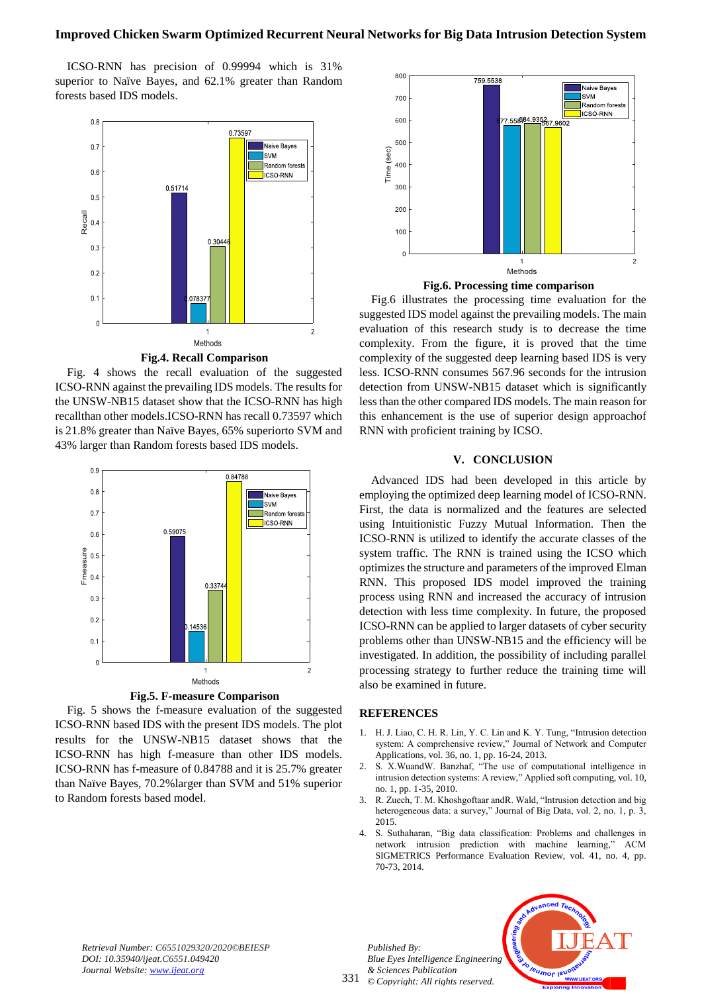ICSO-RNN has precision of 0.99994 which is 31% superior to Naïve Bayes, and 62.1% greater than Random forests based IDS models.



**Fig.4. Recall Comparison**

Fig. 4 shows the recall evaluation of the suggested ICSO-RNN against the prevailing IDS models. The results for the UNSW-NB15 dataset show that the ICSO-RNN has high recallthan other models.ICSO-RNN has recall 0.73597 which is 21.8% greater than Naïve Bayes, 65% superiorto SVM and 43% larger than Random forests based IDS models.



**Fig.5. F-measure Comparison**

Fig. 5 shows the f-measure evaluation of the suggested ICSO-RNN based IDS with the present IDS models. The plot results for the UNSW-NB15 dataset shows that the ICSO-RNN has high f-measure than other IDS models. ICSO-RNN has f-measure of 0.84788 and it is 25.7% greater than Naïve Bayes, 70.2%larger than SVM and 51% superior to Random forests based model.





Fig.6 illustrates the processing time evaluation for the suggested IDS model against the prevailing models. The main evaluation of this research study is to decrease the time complexity. From the figure, it is proved that the time complexity of the suggested deep learning based IDS is very less. ICSO-RNN consumes 567.96 seconds for the intrusion detection from UNSW-NB15 dataset which is significantly less than the other compared IDS models. The main reason for this enhancement is the use of superior design approachof RNN with proficient training by ICSO.

#### **V. CONCLUSION**

Advanced IDS had been developed in this article by employing the optimized deep learning model of ICSO-RNN. First, the data is normalized and the features are selected using Intuitionistic Fuzzy Mutual Information. Then the ICSO-RNN is utilized to identify the accurate classes of the system traffic. The RNN is trained using the ICSO which optimizes the structure and parameters of the improved Elman RNN. This proposed IDS model improved the training process using RNN and increased the accuracy of intrusion detection with less time complexity. In future, the proposed ICSO-RNN can be applied to larger datasets of cyber security problems other than UNSW-NB15 and the efficiency will be investigated. In addition, the possibility of including parallel processing strategy to further reduce the training time will also be examined in future.

#### **REFERENCES**

- 1. H. J. Liao, C. H. R. Lin, Y. C. Lin and K. Y. Tung, "Intrusion detection system: A comprehensive review," Journal of Network and Computer Applications, vol. 36, no. 1, pp. 16-24, 2013.
- 2. S. X.WuandW. Banzhaf, "The use of computational intelligence in intrusion detection systems: A review," Applied soft computing, vol. 10, no. 1, pp. 1-35, 2010.
- 3. R. Zuech, T. M. Khoshgoftaar andR. Wald, "Intrusion detection and big heterogeneous data: a survey," Journal of Big Data, vol. 2, no. 1, p. 3, 2015.
- 4. S. Suthaharan, "Big data classification: Problems and challenges in network intrusion prediction with machine learning," ACM SIGMETRICS Performance Evaluation Review, vol. 41, no. 4, pp. 70-73, 2014.

*Retrieval Number: C6551029320/2020©BEIESP DOI: 10.35940/ijeat.C6551.049420 Journal Website: www.ijeat.org*